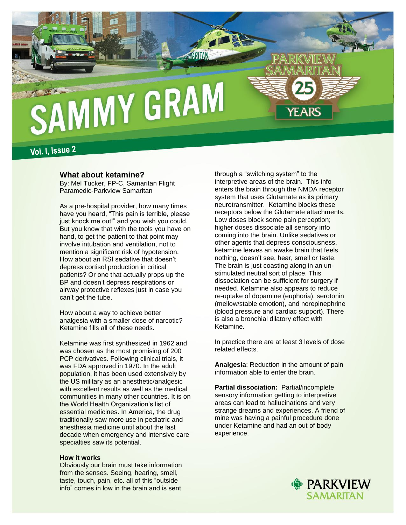

Vol. I, Issue 2

## **What about ketamine?**

By: Mel Tucker, FP-C, Samaritan Flight Paramedic-Parkview Samaritan

As a pre-hospital provider, how many times have you heard, "This pain is terrible, please just knock me out!" and you wish you could. But you know that with the tools you have on hand, to get the patient to that point may involve intubation and ventilation, not to mention a significant risk of hypotension. How about an RSI sedative that doesn't depress cortisol production in critical patients? Or one that actually props up the BP and doesn't depress respirations or airway protective reflexes just in case you can't get the tube.

How about a way to achieve better analgesia with a smaller dose of narcotic? Ketamine fills all of these needs.

Ketamine was first synthesized in 1962 and was chosen as the most promising of 200 PCP derivatives. Following clinical trials, it was FDA approved in 1970. In the adult population, it has been used extensively by the US military as an anesthetic/analgesic with excellent results as well as the medical communities in many other countries. It is on the World Health Organization's list of essential medicines. In America, the drug traditionally saw more use in pediatric and anesthesia medicine until about the last decade when emergency and intensive care specialties saw its potential.

### **How it works**

Obviously our brain must take information from the senses. Seeing, hearing, smell, taste, touch, pain, etc. all of this "outside info" comes in low in the brain and is sent through a "switching system" to the interpretive areas of the brain. This info enters the brain through the NMDA receptor system that uses Glutamate as its primary neurotransmitter. Ketamine blocks these receptors below the Glutamate attachments. Low doses block some pain perception; higher doses dissociate all sensory info coming into the brain. Unlike sedatives or other agents that depress consciousness, ketamine leaves an awake brain that feels nothing, doesn't see, hear, smell or taste. The brain is just coasting along in an unstimulated neutral sort of place. This dissociation can be sufficient for surgery if needed. Ketamine also appears to reduce re-uptake of dopamine (euphoria), serotonin (mellow/stable emotion), and norepinephrine (blood pressure and cardiac support). There is also a bronchial dilatory effect with Ketamine.

In practice there are at least 3 levels of dose related effects.

**Analgesia**: Reduction in the amount of pain information able to enter the brain.

**Partial dissociation:** Partial/incomplete sensory information getting to interpretive areas can lead to hallucinations and very strange dreams and experiences. A friend of mine was having a painful procedure done under Ketamine and had an out of body experience.

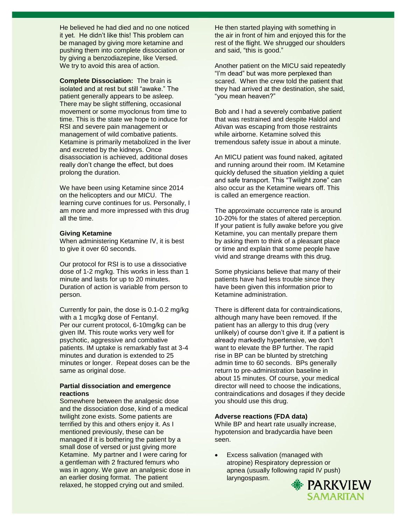He believed he had died and no one noticed it yet. He didn't like this! This problem can be managed by giving more ketamine and pushing them into complete dissociation or by giving a benzodiazepine, like Versed. We try to avoid this area of action.

**Complete Dissociation:** The brain is isolated and at rest but still "awake." The patient generally appears to be asleep. There may be slight stiffening, occasional movement or some myoclonus from time to time. This is the state we hope to induce for RSI and severe pain management or management of wild combative patients. Ketamine is primarily metabolized in the liver and excreted by the kidneys. Once disassociation is achieved, additional doses really don't change the effect, but does prolong the duration.

We have been using Ketamine since 2014 on the helicopters and our MICU. The learning curve continues for us. Personally, I am more and more impressed with this drug all the time.

### **Giving Ketamine**

When administering Ketamine IV, it is best to give it over 60 seconds.

Our protocol for RSI is to use a dissociative dose of 1-2 mg/kg. This works in less than 1 minute and lasts for up to 20 minutes. Duration of action is variable from person to person.

Currently for pain, the dose is 0.1-0.2 mg/kg with a 1 mcg/kg dose of Fentanyl. Per our current protocol, 6-10mg/kg can be given IM. This route works very well for psychotic, aggressive and combative patients. IM uptake is remarkably fast at 3-4 minutes and duration is extended to 25 minutes or longer. Repeat doses can be the same as original dose.

### **Partial dissociation and emergence reactions**

Somewhere between the analgesic dose and the dissociation dose, kind of a medical twilight zone exists. Some patients are terrified by this and others enjoy it. As I mentioned previously, these can be managed if it is bothering the patient by a small dose of versed or just giving more Ketamine. My partner and I were caring for a gentleman with 2 fractured femurs who was in agony. We gave an analgesic dose in an earlier dosing format. The patient relaxed, he stopped crying out and smiled.

He then started playing with something in the air in front of him and enjoyed this for the rest of the flight. We shrugged our shoulders and said, "this is good."

Another patient on the MICU said repeatedly "I'm dead" but was more perplexed than scared. When the crew told the patient that they had arrived at the destination, she said, "you mean heaven?"

Bob and I had a severely combative patient that was restrained and despite Haldol and Ativan was escaping from those restraints while airborne. Ketamine solved this tremendous safety issue in about a minute.

An MICU patient was found naked, agitated and running around their room. IM Ketamine quickly defused the situation yielding a quiet and safe transport. This "Twilight zone" can also occur as the Ketamine wears off. This is called an emergence reaction.

The approximate occurrence rate is around 10-20% for the states of altered perception. If your patient is fully awake before you give Ketamine, you can mentally prepare them by asking them to think of a pleasant place or time and explain that some people have vivid and strange dreams with this drug.

Some physicians believe that many of their patients have had less trouble since they have been given this information prior to Ketamine administration.

There is different data for contraindications, although many have been removed. If the patient has an allergy to this drug (very unlikely) of course don't give it. If a patient is already markedly hypertensive, we don't want to elevate the BP further. The rapid rise in BP can be blunted by stretching admin time to 60 seconds. BPs generally return to pre-administration baseline in about 15 minutes. Of course, your medical director will need to choose the indications, contraindications and dosages if they decide you should use this drug.

#### **Adverse reactions (FDA data)**

While BP and heart rate usually increase, hypotension and bradycardia have been seen.

**Excess salivation (managed with** atropine) Respiratory depression or apnea (usually following rapid IV push) laryngospasm.**PARKVIEW** 

**SAMARITAN**